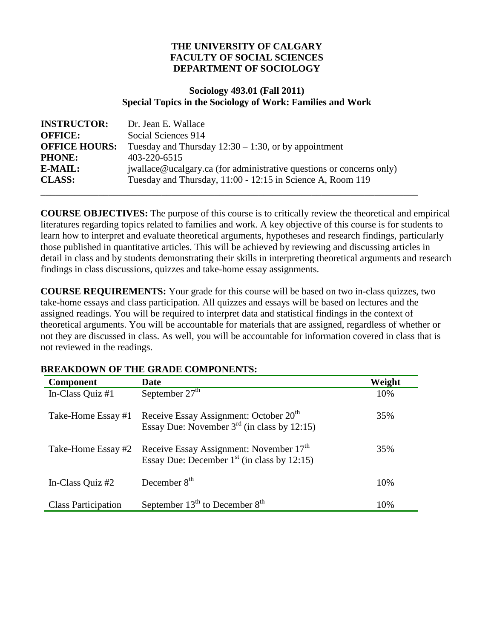### **THE UNIVERSITY OF CALGARY FACULTY OF SOCIAL SCIENCES DEPARTMENT OF SOCIOLOGY**

#### **Sociology 493.01 (Fall 2011) Special Topics in the Sociology of Work: Families and Work**

| <b>INSTRUCTOR:</b>   | Dr. Jean E. Wallace                                                  |
|----------------------|----------------------------------------------------------------------|
| <b>OFFICE:</b>       | Social Sciences 914                                                  |
| <b>OFFICE HOURS:</b> | Tuesday and Thursday $12:30 - 1:30$ , or by appointment              |
| <b>PHONE:</b>        | 403-220-6515                                                         |
| E-MAIL:              | jwallace@ucalgary.ca (for administrative questions or concerns only) |
| <b>CLASS:</b>        | Tuesday and Thursday, 11:00 - 12:15 in Science A, Room 119           |
|                      |                                                                      |

**COURSE OBJECTIVES:** The purpose of this course is to critically review the theoretical and empirical literatures regarding topics related to families and work. A key objective of this course is for students to learn how to interpret and evaluate theoretical arguments, hypotheses and research findings, particularly those published in quantitative articles. This will be achieved by reviewing and discussing articles in detail in class and by students demonstrating their skills in interpreting theoretical arguments and research findings in class discussions, quizzes and take-home essay assignments.

**COURSE REQUIREMENTS:** Your grade for this course will be based on two in-class quizzes, two take-home essays and class participation. All quizzes and essays will be based on lectures and the assigned readings. You will be required to interpret data and statistical findings in the context of theoretical arguments. You will be accountable for materials that are assigned, regardless of whether or not they are discussed in class. As well, you will be accountable for information covered in class that is not reviewed in the readings.

| <b>Component</b>           | <b>Date</b>                                                                                            | Weight |
|----------------------------|--------------------------------------------------------------------------------------------------------|--------|
| In-Class Quiz #1           | September $27th$                                                                                       | 10%    |
| Take-Home Essay #1         | Receive Essay Assignment: October 20 <sup>th</sup><br>Essay Due: November $3^{rd}$ (in class by 12:15) | 35%    |
| Take-Home Essay #2         | Receive Essay Assignment: November 17 <sup>th</sup><br>Essay Due: December $1st$ (in class by 12:15)   | 35%    |
| In-Class Quiz #2           | December $8th$                                                                                         | 10%    |
| <b>Class Participation</b> | September $13^{th}$ to December $8^{th}$                                                               | 10%    |

### **BREAKDOWN OF THE GRADE COMPONENTS:**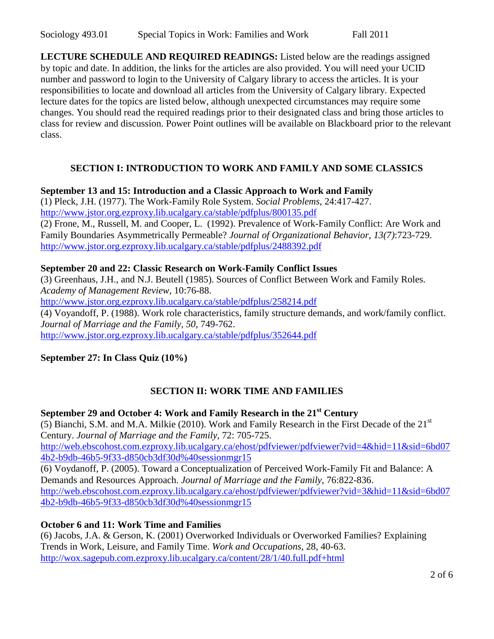**LECTURE SCHEDULE AND REQUIRED READINGS:** Listed below are the readings assigned by topic and date. In addition, the links for the articles are also provided. You will need your UCID number and password to login to the University of Calgary library to access the articles. It is your responsibilities to locate and download all articles from the University of Calgary library. Expected lecture dates for the topics are listed below, although unexpected circumstances may require some changes. You should read the required readings prior to their designated class and bring those articles to class for review and discussion. Power Point outlines will be available on Blackboard prior to the relevant class.

# **SECTION I: INTRODUCTION TO WORK AND FAMILY AND SOME CLASSICS**

### **September 13 and 15: Introduction and a Classic Approach to Work and Family**

(1) Pleck, J.H. (1977). The Work-Family Role System. *Social Problems*, 24:417-427. <http://www.jstor.org.ezproxy.lib.ucalgary.ca/stable/pdfplus/800135.pdf> (2) Frone, M., Russell, M. and Cooper, L. (1992). Prevalence of Work-Family Conflict: Are Work and Family Boundaries Asymmetrically Permeable? *Journal of Organizational Behavior, 13(7)*:723-729. <http://www.jstor.org.ezproxy.lib.ucalgary.ca/stable/pdfplus/2488392.pdf>

### **September 20 and 22: Classic Research on Work-Family Conflict Issues**

(3) Greenhaus, J.H., and N.J. Beutell (1985). Sources of Conflict Between Work and Family Roles. *Academy of Management Review*, 10:76-88. <http://www.jstor.org.ezproxy.lib.ucalgary.ca/stable/pdfplus/258214.pdf> (4) Voyandoff, P. (1988). Work role characteristics, family structure demands, and work/family conflict. *Journal of Marriage and the Family, 50*, 749-762. <http://www.jstor.org.ezproxy.lib.ucalgary.ca/stable/pdfplus/352644.pdf>

**September 27: In Class Quiz (10%)**

# **SECTION II: WORK TIME AND FAMILIES**

**September 29 and October 4: Work and Family Research in the 21st Century** (5) Bianchi, S.M. and M.A. Milkie (2010). Work and Family Research in the First Decade of the  $21<sup>st</sup>$ Century. *Journal of Marriage and the Family*, 72: 705-725. [http://web.ebscohost.com.ezproxy.lib.ucalgary.ca/ehost/pdfviewer/pdfviewer?vid=4&hid=11&sid=6bd07](http://web.ebscohost.com.ezproxy.lib.ucalgary.ca/ehost/pdfviewer/pdfviewer?vid=4&hid=11&sid=6bd074b2-b9db-46b5-9f33-d850cb3df30d%40sessionmgr15) [4b2-b9db-46b5-9f33-d850cb3df30d%40sessionmgr15](http://web.ebscohost.com.ezproxy.lib.ucalgary.ca/ehost/pdfviewer/pdfviewer?vid=4&hid=11&sid=6bd074b2-b9db-46b5-9f33-d850cb3df30d%40sessionmgr15) (6) Voydanoff, P. (2005). Toward a Conceptualization of Perceived Work-Family Fit and Balance: A Demands and Resources Approach. *Journal of Marriage and the Family*, 76:822-836. [http://web.ebscohost.com.ezproxy.lib.ucalgary.ca/ehost/pdfviewer/pdfviewer?vid=3&hid=11&sid=6bd07](http://web.ebscohost.com.ezproxy.lib.ucalgary.ca/ehost/pdfviewer/pdfviewer?vid=3&hid=11&sid=6bd074b2-b9db-46b5-9f33-d850cb3df30d%40sessionmgr15) [4b2-b9db-46b5-9f33-d850cb3df30d%40sessionmgr15](http://web.ebscohost.com.ezproxy.lib.ucalgary.ca/ehost/pdfviewer/pdfviewer?vid=3&hid=11&sid=6bd074b2-b9db-46b5-9f33-d850cb3df30d%40sessionmgr15)

### **October 6 and 11: Work Time and Families**

(6) Jacobs, J.A. & Gerson, K. (2001) Overworked Individuals or Overworked Families? Explaining Trends in Work, Leisure, and Family Time. *Work and Occupations*, 28, 40-63. <http://wox.sagepub.com.ezproxy.lib.ucalgary.ca/content/28/1/40.full.pdf+html>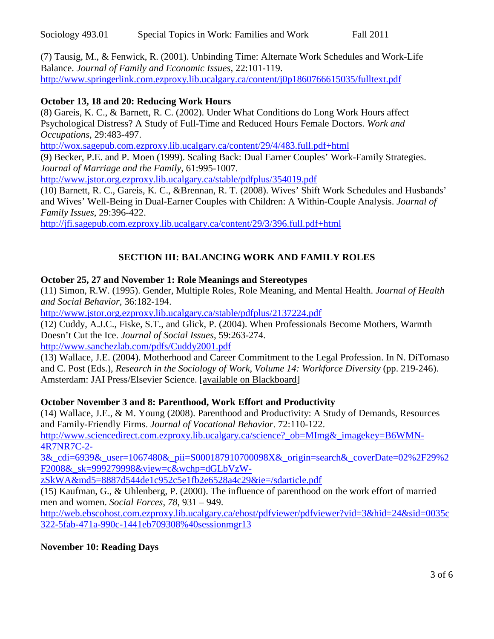(7) Tausig, M., & Fenwick, R. (2001). Unbinding Time: Alternate Work Schedules and Work-Life Balance. *Journal of Family and Economic Issues*, 22:101-119. <http://www.springerlink.com.ezproxy.lib.ucalgary.ca/content/j0p1860766615035/fulltext.pdf>

### **October 13, 18 and 20: Reducing Work Hours**

(8) Gareis, K. C., & Barnett, R. C. (2002). Under What Conditions do Long Work Hours affect Psychological Distress? A Study of Full-Time and Reduced Hours Female Doctors. *Work and Occupations*, 29:483-497.

<http://wox.sagepub.com.ezproxy.lib.ucalgary.ca/content/29/4/483.full.pdf+html>

(9) Becker, P.E. and P. Moen (1999). Scaling Back: Dual Earner Couples' Work-Family Strategies. *Journal of Marriage and the Family*, 61:995-1007.

<http://www.jstor.org.ezproxy.lib.ucalgary.ca/stable/pdfplus/354019.pdf>

(10) Barnett, R. C., Gareis, K. C., &Brennan, R. T. (2008). Wives' Shift Work Schedules and Husbands' and Wives' Well-Being in Dual-Earner Couples with Children: A Within-Couple Analysis. *Journal of Family Issues*, 29:396-422.

<http://jfi.sagepub.com.ezproxy.lib.ucalgary.ca/content/29/3/396.full.pdf+html>

# **SECTION III: BALANCING WORK AND FAMILY ROLES**

#### **October 25, 27 and November 1: Role Meanings and Stereotypes**

(11) Simon, R.W. (1995). Gender, Multiple Roles, Role Meaning, and Mental Health. *Journal of Health and Social Behavior*, 36:182-194.

<http://www.jstor.org.ezproxy.lib.ucalgary.ca/stable/pdfplus/2137224.pdf>

(12) Cuddy, A.J.C., Fiske, S.T., and Glick, P. (2004). When Professionals Become Mothers, Warmth Doesn't Cut the Ice. *Journal of Social Issues*, 59:263-274.

<http://www.sanchezlab.com/pdfs/Cuddy2001.pdf>

(13) Wallace, J.E. (2004). Motherhood and Career Commitment to the Legal Profession. In N. DiTomaso and C. Post (Eds.), *Research in the Sociology of Work, Volume 14: Workforce Diversity* (pp. 219-246). Amsterdam: JAI Press/Elsevier Science. [available on Blackboard]

#### **October November 3 and 8: Parenthood, Work Effort and Productivity**

(14) Wallace, J.E., & M. Young (2008). Parenthood and Productivity: A Study of Demands, Resources and Family-Friendly Firms. *Journal of Vocational Behavior*. 72:110-122.

http://www.sciencedirect.com.ezproxy.lib.ucalgary.ca/science? ob=MImg& imagekey=B6WMN-[4R7NR7C-2-](http://www.sciencedirect.com.ezproxy.lib.ucalgary.ca/science?_ob=MImg&_imagekey=B6WMN-4R7NR7C-2-3&_cdi=6939&_user=1067480&_pii=S000187910700098X&_origin=search&_coverDate=02%2F29%2F2008&_sk=999279998&view=c&wchp=dGLbVzW-zSkWA&md5=8887d544de1c952c5e1fb2e6528a4c29&ie=/sdarticle.pdf)

[3&\\_cdi=6939&\\_user=1067480&\\_pii=S000187910700098X&\\_origin=search&\\_coverDate=02%2F29%2](http://www.sciencedirect.com.ezproxy.lib.ucalgary.ca/science?_ob=MImg&_imagekey=B6WMN-4R7NR7C-2-3&_cdi=6939&_user=1067480&_pii=S000187910700098X&_origin=search&_coverDate=02%2F29%2F2008&_sk=999279998&view=c&wchp=dGLbVzW-zSkWA&md5=8887d544de1c952c5e1fb2e6528a4c29&ie=/sdarticle.pdf) [F2008&\\_sk=999279998&view=c&wchp=dGLbVzW-](http://www.sciencedirect.com.ezproxy.lib.ucalgary.ca/science?_ob=MImg&_imagekey=B6WMN-4R7NR7C-2-3&_cdi=6939&_user=1067480&_pii=S000187910700098X&_origin=search&_coverDate=02%2F29%2F2008&_sk=999279998&view=c&wchp=dGLbVzW-zSkWA&md5=8887d544de1c952c5e1fb2e6528a4c29&ie=/sdarticle.pdf)

[zSkWA&md5=8887d544de1c952c5e1fb2e6528a4c29&ie=/sdarticle.pdf](http://www.sciencedirect.com.ezproxy.lib.ucalgary.ca/science?_ob=MImg&_imagekey=B6WMN-4R7NR7C-2-3&_cdi=6939&_user=1067480&_pii=S000187910700098X&_origin=search&_coverDate=02%2F29%2F2008&_sk=999279998&view=c&wchp=dGLbVzW-zSkWA&md5=8887d544de1c952c5e1fb2e6528a4c29&ie=/sdarticle.pdf)

(15) Kaufman, G., & Uhlenberg, P. (2000). The influence of parenthood on the work effort of married men and women. *Social Forces*, *78*, 931 – 949.

[http://web.ebscohost.com.ezproxy.lib.ucalgary.ca/ehost/pdfviewer/pdfviewer?vid=3&hid=24&sid=0035c](http://web.ebscohost.com.ezproxy.lib.ucalgary.ca/ehost/pdfviewer/pdfviewer?vid=3&hid=24&sid=0035c322-5fab-471a-990c-1441eb709308%40sessionmgr13) [322-5fab-471a-990c-1441eb709308%40sessionmgr13](http://web.ebscohost.com.ezproxy.lib.ucalgary.ca/ehost/pdfviewer/pdfviewer?vid=3&hid=24&sid=0035c322-5fab-471a-990c-1441eb709308%40sessionmgr13)

**November 10: Reading Days**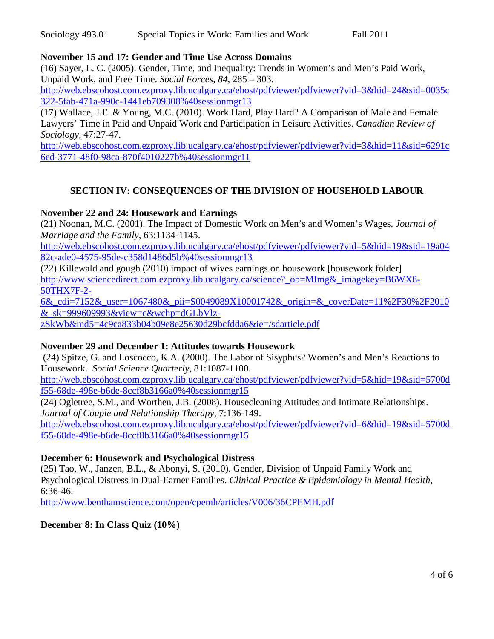### **November 15 and 17: Gender and Time Use Across Domains**

(16) Sayer, L. C. (2005). Gender, Time, and Inequality: Trends in Women's and Men's Paid Work, Unpaid Work, and Free Time. *Social Forces*, *84*, 285 – 303.

[http://web.ebscohost.com.ezproxy.lib.ucalgary.ca/ehost/pdfviewer/pdfviewer?vid=3&hid=24&sid=0035c](http://web.ebscohost.com.ezproxy.lib.ucalgary.ca/ehost/pdfviewer/pdfviewer?vid=3&hid=24&sid=0035c322-5fab-471a-990c-1441eb709308%40sessionmgr13) [322-5fab-471a-990c-1441eb709308%40sessionmgr13](http://web.ebscohost.com.ezproxy.lib.ucalgary.ca/ehost/pdfviewer/pdfviewer?vid=3&hid=24&sid=0035c322-5fab-471a-990c-1441eb709308%40sessionmgr13)

(17) Wallace, J.E. & Young, M.C. (2010). Work Hard, Play Hard? A Comparison of Male and Female Lawyers' Time in Paid and Unpaid Work and Participation in Leisure Activities. *Canadian Review of Sociology*, 47:27-47.

[http://web.ebscohost.com.ezproxy.lib.ucalgary.ca/ehost/pdfviewer/pdfviewer?vid=3&hid=11&sid=6291c](http://web.ebscohost.com.ezproxy.lib.ucalgary.ca/ehost/pdfviewer/pdfviewer?vid=3&hid=11&sid=6291c6ed-3771-48f0-98ca-870f4010227b%40sessionmgr11) [6ed-3771-48f0-98ca-870f4010227b%40sessionmgr11](http://web.ebscohost.com.ezproxy.lib.ucalgary.ca/ehost/pdfviewer/pdfviewer?vid=3&hid=11&sid=6291c6ed-3771-48f0-98ca-870f4010227b%40sessionmgr11)

# **SECTION IV: CONSEQUENCES OF THE DIVISION OF HOUSEHOLD LABOUR**

#### **November 22 and 24: Housework and Earnings**

(21) Noonan, M.C. (2001). The Impact of Domestic Work on Men's and Women's Wages. *Journal of Marriage and the Family*, 63:1134-1145.

[http://web.ebscohost.com.ezproxy.lib.ucalgary.ca/ehost/pdfviewer/pdfviewer?vid=5&hid=19&sid=19a04](http://web.ebscohost.com.ezproxy.lib.ucalgary.ca/ehost/pdfviewer/pdfviewer?vid=5&hid=19&sid=19a0482c-ade0-4575-95de-c358d1486d5b%40sessionmgr13) [82c-ade0-4575-95de-c358d1486d5b%40sessionmgr13](http://web.ebscohost.com.ezproxy.lib.ucalgary.ca/ehost/pdfviewer/pdfviewer?vid=5&hid=19&sid=19a0482c-ade0-4575-95de-c358d1486d5b%40sessionmgr13)

(22) Killewald and gough (2010) impact of wives earnings on housework [housework folder] [http://www.sciencedirect.com.ezproxy.lib.ucalgary.ca/science?\\_ob=MImg&\\_imagekey=B6WX8-](http://www.sciencedirect.com.ezproxy.lib.ucalgary.ca/science?_ob=MImg&_imagekey=B6WX8-50THX7F-2-6&_cdi=7152&_user=1067480&_pii=S0049089X10001742&_origin=&_coverDate=11%2F30%2F2010&_sk=999609993&view=c&wchp=dGLbVlz-zSkWb&md5=4c9ca833b04b09e8e25630d29bcfdda6&ie=/sdarticle.pdf) [50THX7F-2-](http://www.sciencedirect.com.ezproxy.lib.ucalgary.ca/science?_ob=MImg&_imagekey=B6WX8-50THX7F-2-6&_cdi=7152&_user=1067480&_pii=S0049089X10001742&_origin=&_coverDate=11%2F30%2F2010&_sk=999609993&view=c&wchp=dGLbVlz-zSkWb&md5=4c9ca833b04b09e8e25630d29bcfdda6&ie=/sdarticle.pdf)

[6&\\_cdi=7152&\\_user=1067480&\\_pii=S0049089X10001742&\\_origin=&\\_coverDate=11%2F30%2F2010](http://www.sciencedirect.com.ezproxy.lib.ucalgary.ca/science?_ob=MImg&_imagekey=B6WX8-50THX7F-2-6&_cdi=7152&_user=1067480&_pii=S0049089X10001742&_origin=&_coverDate=11%2F30%2F2010&_sk=999609993&view=c&wchp=dGLbVlz-zSkWb&md5=4c9ca833b04b09e8e25630d29bcfdda6&ie=/sdarticle.pdf)  $&$ sk=999609993 $&$ view=c $&$ wchp=dGLbVlz-

[zSkWb&md5=4c9ca833b04b09e8e25630d29bcfdda6&ie=/sdarticle.pdf](http://www.sciencedirect.com.ezproxy.lib.ucalgary.ca/science?_ob=MImg&_imagekey=B6WX8-50THX7F-2-6&_cdi=7152&_user=1067480&_pii=S0049089X10001742&_origin=&_coverDate=11%2F30%2F2010&_sk=999609993&view=c&wchp=dGLbVlz-zSkWb&md5=4c9ca833b04b09e8e25630d29bcfdda6&ie=/sdarticle.pdf)

### **November 29 and December 1: Attitudes towards Housework**

(24) Spitze, G. and Loscocco, K.A. (2000). The Labor of Sisyphus? Women's and Men's Reactions to Housework. *Social Science Quarterly*, 81:1087-1100.

[http://web.ebscohost.com.ezproxy.lib.ucalgary.ca/ehost/pdfviewer/pdfviewer?vid=5&hid=19&sid=5700d](http://web.ebscohost.com.ezproxy.lib.ucalgary.ca/ehost/pdfviewer/pdfviewer?vid=5&hid=19&sid=5700df55-68de-498e-b6de-8ccf8b3166a0%40sessionmgr15) [f55-68de-498e-b6de-8ccf8b3166a0%40sessionmgr15](http://web.ebscohost.com.ezproxy.lib.ucalgary.ca/ehost/pdfviewer/pdfviewer?vid=5&hid=19&sid=5700df55-68de-498e-b6de-8ccf8b3166a0%40sessionmgr15)

(24) Ogletree, S.M., and Worthen, J.B. (2008). Housecleaning Attitudes and Intimate Relationships. *Journal of Couple and Relationship Therapy*, 7:136-149. [http://web.ebscohost.com.ezproxy.lib.ucalgary.ca/ehost/pdfviewer/pdfviewer?vid=6&hid=19&sid=5700d](http://web.ebscohost.com.ezproxy.lib.ucalgary.ca/ehost/pdfviewer/pdfviewer?vid=6&hid=19&sid=5700df55-68de-498e-b6de-8ccf8b3166a0%40sessionmgr15)

[f55-68de-498e-b6de-8ccf8b3166a0%40sessionmgr15](http://web.ebscohost.com.ezproxy.lib.ucalgary.ca/ehost/pdfviewer/pdfviewer?vid=6&hid=19&sid=5700df55-68de-498e-b6de-8ccf8b3166a0%40sessionmgr15)

### **December 6: Housework and Psychological Distress**

(25) Tao, W., Janzen, B.L., & Abonyi, S. (2010). Gender, Division of Unpaid Family Work and Psychological Distress in Dual-Earner Families. *Clinical Practice & Epidemiology in Mental Health*, 6:36-46.

<http://www.benthamscience.com/open/cpemh/articles/V006/36CPEMH.pdf>

### **December 8: In Class Quiz (10%)**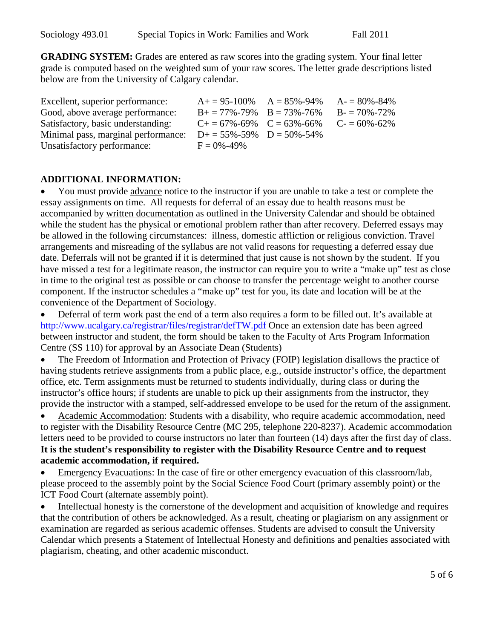**GRADING SYSTEM:** Grades are entered as raw scores into the grading system. Your final letter grade is computed based on the weighted sum of your raw scores. The letter grade descriptions listed below are from the University of Calgary calendar.

| Excellent, superior performance:    |                                         | $A+ = 95-100\%$ $A = 85\% - 94\%$ $A- = 80\% - 84\%$ |
|-------------------------------------|-----------------------------------------|------------------------------------------------------|
| Good, above average performance:    | $B_+ = 77\% - 79\%$ $B = 73\% - 76\%$   | $B = 70\% - 72\%$                                    |
| Satisfactory, basic understanding:  | $C_{+} = 67\% - 69\%$ $C = 63\% - 66\%$ | $C = 60\% - 62\%$                                    |
| Minimal pass, marginal performance: | $D+ = 55\% - 59\%$ $D = 50\% - 54\%$    |                                                      |
| Unsatisfactory performance:         | $F = 0\% - 49\%$                        |                                                      |

### **ADDITIONAL INFORMATION:**

• You must provide advance notice to the instructor if you are unable to take a test or complete the essay assignments on time. All requests for deferral of an essay due to health reasons must be accompanied by written documentation as outlined in the University Calendar and should be obtained while the student has the physical or emotional problem rather than after recovery. Deferred essays may be allowed in the following circumstances: illness, domestic affliction or religious conviction. Travel arrangements and misreading of the syllabus are not valid reasons for requesting a deferred essay due date. Deferrals will not be granted if it is determined that just cause is not shown by the student. If you have missed a test for a legitimate reason, the instructor can require you to write a "make up" test as close in time to the original test as possible or can choose to transfer the percentage weight to another course component. If the instructor schedules a "make up" test for you, its date and location will be at the convenience of the Department of Sociology.

• Deferral of term work past the end of a term also requires a form to be filled out. It's available at <http://www.ucalgary.ca/registrar/files/registrar/defTW.pdf> Once an extension date has been agreed between instructor and student, the form should be taken to the Faculty of Arts Program Information Centre (SS 110) for approval by an Associate Dean (Students)

• The Freedom of Information and Protection of Privacy (FOIP) legislation disallows the practice of having students retrieve assignments from a public place, e.g., outside instructor's office, the department office, etc. Term assignments must be returned to students individually, during class or during the instructor's office hours; if students are unable to pick up their assignments from the instructor, they provide the instructor with a stamped, self-addressed envelope to be used for the return of the assignment.

• Academic Accommodation: Students with a disability, who require academic accommodation, need to register with the Disability Resource Centre (MC 295, telephone 220-8237). Academic accommodation letters need to be provided to course instructors no later than fourteen (14) days after the first day of class. **It is the student's responsibility to register with the Disability Resource Centre and to request academic accommodation, if required.**

• Emergency Evacuations: In the case of fire or other emergency evacuation of this classroom/lab, please proceed to the assembly point by the Social Science Food Court (primary assembly point) or the ICT Food Court (alternate assembly point).

• Intellectual honesty is the cornerstone of the development and acquisition of knowledge and requires that the contribution of others be acknowledged. As a result, cheating or plagiarism on any assignment or examination are regarded as serious academic offenses. Students are advised to consult the University Calendar which presents a Statement of Intellectual Honesty and definitions and penalties associated with plagiarism, cheating, and other academic misconduct.